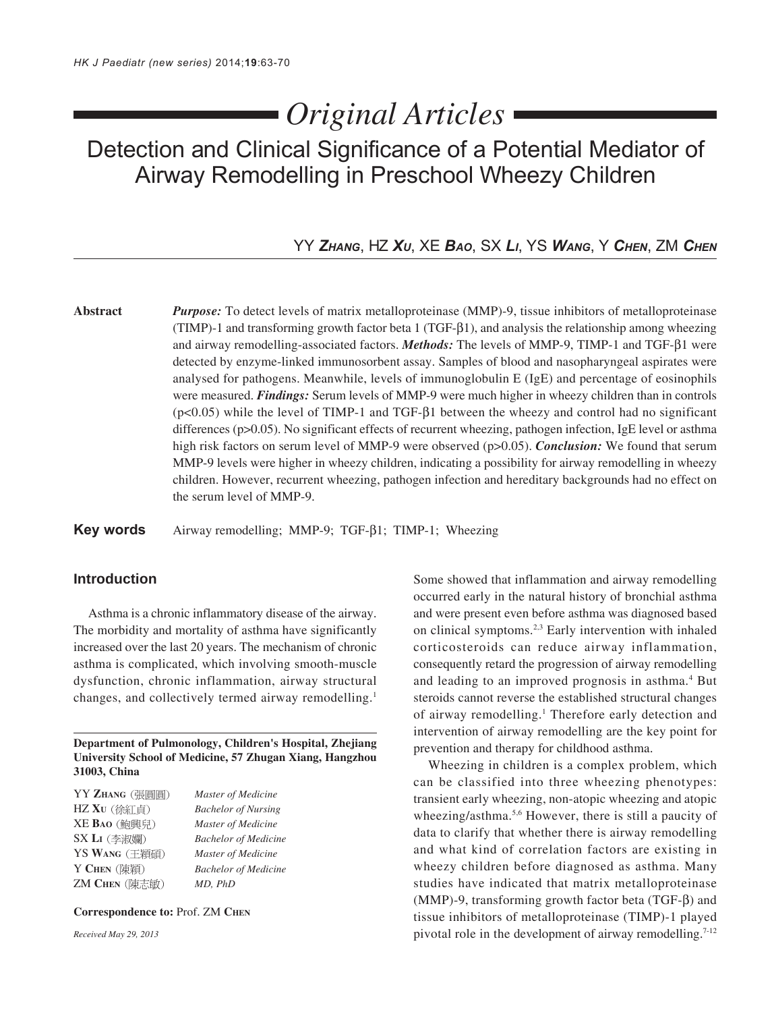# *Original Articles*

# Detection and Clinical Significance of a Potential Mediator of Airway Remodelling in Preschool Wheezy Children

## YY *ZHANG*, HZ *XU*, XE *BAO*, SX *LI*, YS *WANG*, Y *CHEN*, ZM *CHEN*

**Abstract** *Purpose:* To detect levels of matrix metalloproteinase (MMP)-9, tissue inhibitors of metalloproteinase (TIMP)-1 and transforming growth factor beta 1 (TGF-β1), and analysis the relationship among wheezing and airway remodelling-associated factors. *Methods:* The levels of MMP-9, TIMP-1 and TGF-β1 were detected by enzyme-linked immunosorbent assay. Samples of blood and nasopharyngeal aspirates were analysed for pathogens. Meanwhile, levels of immunoglobulin E (IgE) and percentage of eosinophils were measured. *Findings:* Serum levels of MMP-9 were much higher in wheezy children than in controls  $(p<0.05)$  while the level of TIMP-1 and TGF- $\beta$ 1 between the wheezy and control had no significant differences (p>0.05). No significant effects of recurrent wheezing, pathogen infection, IgE level or asthma high risk factors on serum level of MMP-9 were observed ( $p>0.05$ ). *Conclusion:* We found that serum MMP-9 levels were higher in wheezy children, indicating a possibility for airway remodelling in wheezy children. However, recurrent wheezing, pathogen infection and hereditary backgrounds had no effect on the serum level of MMP-9.

**Key words** Airway remodelling; MMP-9; TGF-β1; TIMP-1; Wheezing

#### **Introduction**

Asthma is a chronic inflammatory disease of the airway. The morbidity and mortality of asthma have significantly increased over the last 20 years. The mechanism of chronic asthma is complicated, which involving smooth-muscle dysfunction, chronic inflammation, airway structural changes, and collectively termed airway remodelling.1

**Department of Pulmonology, Children's Hospital, Zhejiang University School of Medicine, 57 Zhugan Xiang, Hangzhou 31003, China**

| YY ZHANG (張圓圓) | Master of Medicine          |
|----------------|-----------------------------|
| HZ Xu (徐紅貞)    | <b>Bachelor of Nursing</b>  |
| XE BAO (鮑興兒)   | Master of Medicine          |
| SX Lī (李淑孄)    | <b>Bachelor</b> of Medicine |
| YS Wang (王穎碩)  | Master of Medicine          |
| Y Chen (陳穎)    | <b>Bachelor</b> of Medicine |
| ZM CHEN (陳志敏)  | MD, PhD                     |

#### **Correspondence to:** Prof. ZM **CHEN**

*Received May 29, 2013*

Some showed that inflammation and airway remodelling occurred early in the natural history of bronchial asthma and were present even before asthma was diagnosed based on clinical symptoms.2,3 Early intervention with inhaled corticosteroids can reduce airway inflammation, consequently retard the progression of airway remodelling and leading to an improved prognosis in asthma.<sup>4</sup> But steroids cannot reverse the established structural changes of airway remodelling.<sup>1</sup> Therefore early detection and intervention of airway remodelling are the key point for prevention and therapy for childhood asthma.

Wheezing in children is a complex problem, which can be classified into three wheezing phenotypes: transient early wheezing, non-atopic wheezing and atopic wheezing/asthma.<sup>5,6</sup> However, there is still a paucity of data to clarify that whether there is airway remodelling and what kind of correlation factors are existing in wheezy children before diagnosed as asthma. Many studies have indicated that matrix metalloproteinase (MMP)-9, transforming growth factor beta (TGF-β) and tissue inhibitors of metalloproteinase (TIMP)-1 played pivotal role in the development of airway remodelling.<sup>7-12</sup>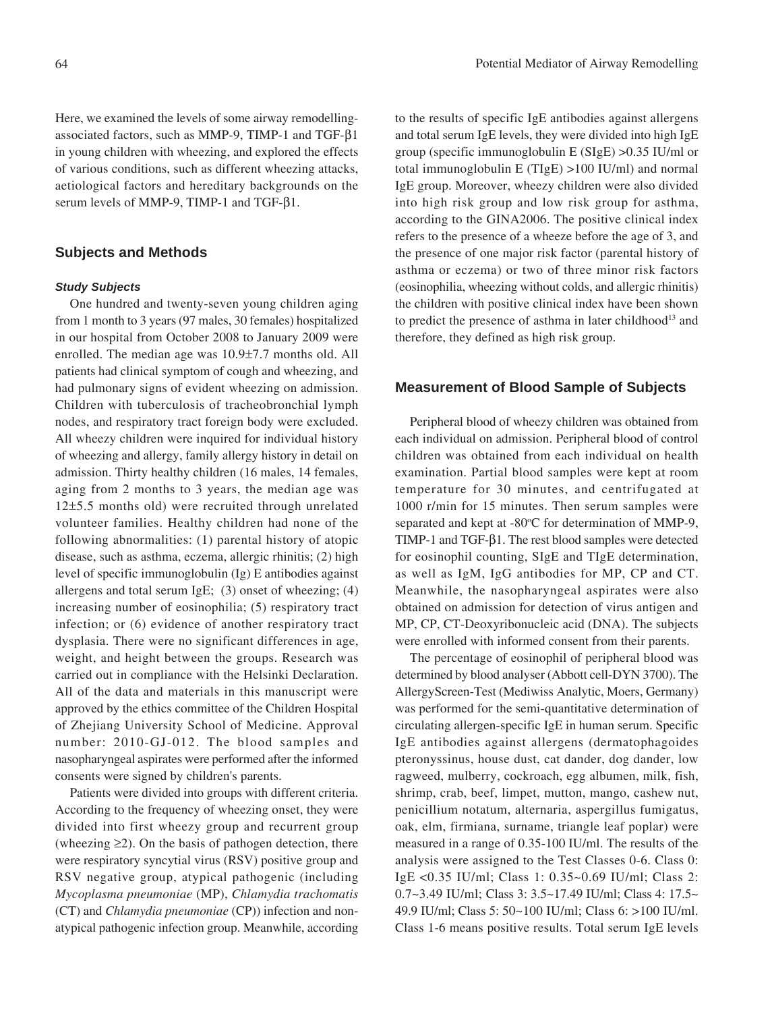Here, we examined the levels of some airway remodellingassociated factors, such as MMP-9, TIMP-1 and TGF-β1 in young children with wheezing, and explored the effects of various conditions, such as different wheezing attacks, aetiological factors and hereditary backgrounds on the serum levels of MMP-9, TIMP-1 and TGF-β1.

### **Subjects and Methods**

#### *Study Subjects*

One hundred and twenty-seven young children aging from 1 month to 3 years (97 males, 30 females) hospitalized in our hospital from October 2008 to January 2009 were enrolled. The median age was 10.9±7.7 months old. All patients had clinical symptom of cough and wheezing, and had pulmonary signs of evident wheezing on admission. Children with tuberculosis of tracheobronchial lymph nodes, and respiratory tract foreign body were excluded. All wheezy children were inquired for individual history of wheezing and allergy, family allergy history in detail on admission. Thirty healthy children (16 males, 14 females, aging from 2 months to 3 years, the median age was 12±5.5 months old) were recruited through unrelated volunteer families. Healthy children had none of the following abnormalities: (1) parental history of atopic disease, such as asthma, eczema, allergic rhinitis; (2) high level of specific immunoglobulin (Ig) E antibodies against allergens and total serum IgE; (3) onset of wheezing; (4) increasing number of eosinophilia; (5) respiratory tract infection; or (6) evidence of another respiratory tract dysplasia. There were no significant differences in age, weight, and height between the groups. Research was carried out in compliance with the Helsinki Declaration. All of the data and materials in this manuscript were approved by the ethics committee of the Children Hospital of Zhejiang University School of Medicine. Approval number: 2010-GJ-012. The blood samples and nasopharyngeal aspirates were performed after the informed consents were signed by children's parents.

Patients were divided into groups with different criteria. According to the frequency of wheezing onset, they were divided into first wheezy group and recurrent group (wheezing  $\geq$ 2). On the basis of pathogen detection, there were respiratory syncytial virus (RSV) positive group and RSV negative group, atypical pathogenic (including *Mycoplasma pneumoniae* (MP), *Chlamydia trachomatis* (CT) and *Chlamydia pneumoniae* (CP)) infection and nonatypical pathogenic infection group. Meanwhile, according to the results of specific IgE antibodies against allergens and total serum IgE levels, they were divided into high IgE group (specific immunoglobulin E (SIgE) >0.35 IU/ml or total immunoglobulin E (TIgE) >100 IU/ml) and normal IgE group. Moreover, wheezy children were also divided into high risk group and low risk group for asthma, according to the GINA2006. The positive clinical index refers to the presence of a wheeze before the age of 3, and the presence of one major risk factor (parental history of asthma or eczema) or two of three minor risk factors (eosinophilia, wheezing without colds, and allergic rhinitis) the children with positive clinical index have been shown to predict the presence of asthma in later childhood<sup>13</sup> and therefore, they defined as high risk group.

#### **Measurement of Blood Sample of Subjects**

Peripheral blood of wheezy children was obtained from each individual on admission. Peripheral blood of control children was obtained from each individual on health examination. Partial blood samples were kept at room temperature for 30 minutes, and centrifugated at 1000 r/min for 15 minutes. Then serum samples were separated and kept at -80°C for determination of MMP-9, TIMP-1 and TGF-β1. The rest blood samples were detected for eosinophil counting, SIgE and TIgE determination, as well as IgM, IgG antibodies for MP, CP and CT. Meanwhile, the nasopharyngeal aspirates were also obtained on admission for detection of virus antigen and MP, CP, CT-Deoxyribonucleic acid (DNA). The subjects were enrolled with informed consent from their parents.

The percentage of eosinophil of peripheral blood was determined by blood analyser (Abbott cell-DYN 3700). The AllergyScreen-Test (Mediwiss Analytic, Moers, Germany) was performed for the semi-quantitative determination of circulating allergen-specific IgE in human serum. Specific IgE antibodies against allergens (dermatophagoides pteronyssinus, house dust, cat dander, dog dander, low ragweed, mulberry, cockroach, egg albumen, milk, fish, shrimp, crab, beef, limpet, mutton, mango, cashew nut, penicillium notatum, alternaria, aspergillus fumigatus, oak, elm, firmiana, surname, triangle leaf poplar) were measured in a range of 0.35-100 IU/ml. The results of the analysis were assigned to the Test Classes 0-6. Class 0: IgE <0.35 IU/ml; Class 1: 0.35~0.69 IU/ml; Class 2: 0.7~3.49 IU/ml; Class 3: 3.5~17.49 IU/ml; Class 4: 17.5~ 49.9 IU/ml; Class 5: 50~100 IU/ml; Class 6: >100 IU/ml. Class 1-6 means positive results. Total serum IgE levels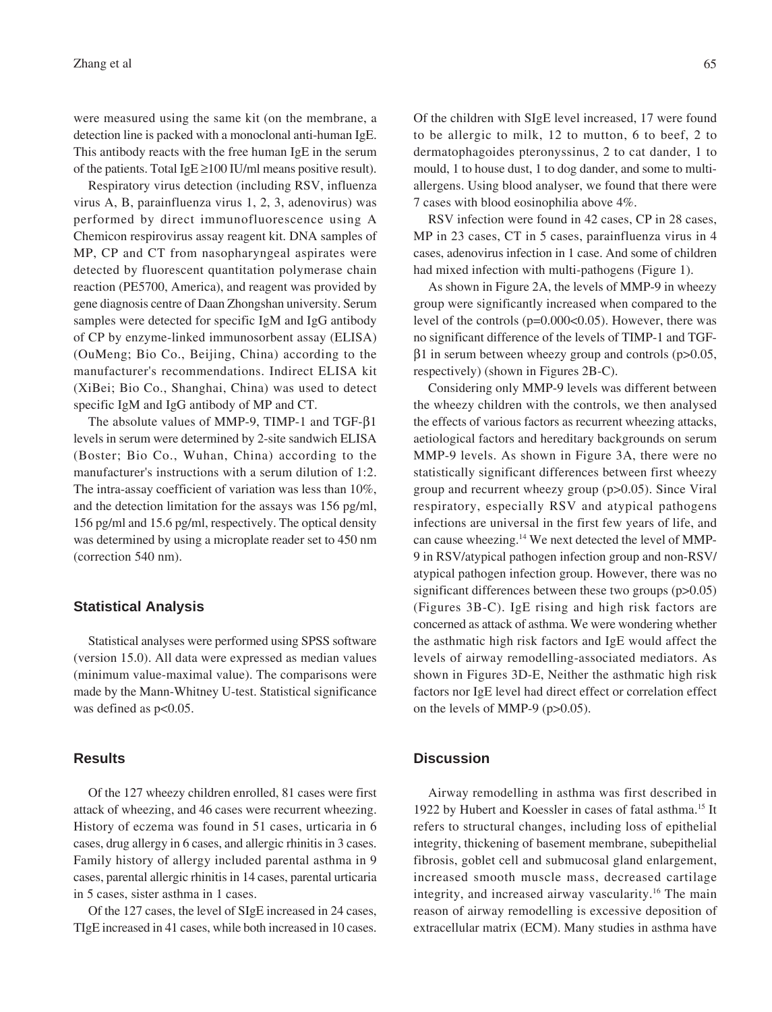were measured using the same kit (on the membrane, a detection line is packed with a monoclonal anti-human IgE. This antibody reacts with the free human IgE in the serum of the patients. Total IgE ≥100 IU/ml means positive result).

Respiratory virus detection (including RSV, influenza virus A, B, parainfluenza virus 1, 2, 3, adenovirus) was performed by direct immunofluorescence using A Chemicon respirovirus assay reagent kit. DNA samples of MP, CP and CT from nasopharyngeal aspirates were detected by fluorescent quantitation polymerase chain reaction (PE5700, America), and reagent was provided by gene diagnosis centre of Daan Zhongshan university. Serum samples were detected for specific IgM and IgG antibody of CP by enzyme-linked immunosorbent assay (ELISA) (OuMeng; Bio Co., Beijing, China) according to the manufacturer's recommendations. Indirect ELISA kit (XiBei; Bio Co., Shanghai, China) was used to detect specific IgM and IgG antibody of MP and CT.

The absolute values of MMP-9, TIMP-1 and TGF-β1 levels in serum were determined by 2-site sandwich ELISA (Boster; Bio Co., Wuhan, China) according to the manufacturer's instructions with a serum dilution of 1:2. The intra-assay coefficient of variation was less than 10%, and the detection limitation for the assays was 156 pg/ml, 156 pg/ml and 15.6 pg/ml, respectively. The optical density was determined by using a microplate reader set to 450 nm (correction 540 nm).

#### **Statistical Analysis**

Statistical analyses were performed using SPSS software (version 15.0). All data were expressed as median values (minimum value-maximal value). The comparisons were made by the Mann-Whitney U-test. Statistical significance was defined as  $p<0.05$ .

#### **Results**

Of the 127 wheezy children enrolled, 81 cases were first attack of wheezing, and 46 cases were recurrent wheezing. History of eczema was found in 51 cases, urticaria in 6 cases, drug allergy in 6 cases, and allergic rhinitis in 3 cases. Family history of allergy included parental asthma in 9 cases, parental allergic rhinitis in 14 cases, parental urticaria in 5 cases, sister asthma in 1 cases.

Of the 127 cases, the level of SIgE increased in 24 cases, TIgE increased in 41 cases, while both increased in 10 cases. Of the children with SIgE level increased, 17 were found to be allergic to milk, 12 to mutton, 6 to beef, 2 to dermatophagoides pteronyssinus, 2 to cat dander, 1 to mould, 1 to house dust, 1 to dog dander, and some to multiallergens. Using blood analyser, we found that there were 7 cases with blood eosinophilia above 4%.

RSV infection were found in 42 cases, CP in 28 cases, MP in 23 cases, CT in 5 cases, parainfluenza virus in 4 cases, adenovirus infection in 1 case. And some of children had mixed infection with multi-pathogens (Figure 1).

As shown in Figure 2A, the levels of MMP-9 in wheezy group were significantly increased when compared to the level of the controls (p=0.000<0.05). However, there was no significant difference of the levels of TIMP-1 and TGF $β1$  in serum between wheezy group and controls (p>0.05, respectively) (shown in Figures 2B-C).

Considering only MMP-9 levels was different between the wheezy children with the controls, we then analysed the effects of various factors as recurrent wheezing attacks, aetiological factors and hereditary backgrounds on serum MMP-9 levels. As shown in Figure 3A, there were no statistically significant differences between first wheezy group and recurrent wheezy group (p>0.05). Since Viral respiratory, especially RSV and atypical pathogens infections are universal in the first few years of life, and can cause wheezing.14 We next detected the level of MMP-9 in RSV/atypical pathogen infection group and non-RSV/ atypical pathogen infection group. However, there was no significant differences between these two groups (p>0.05) (Figures 3B-C). IgE rising and high risk factors are concerned as attack of asthma. We were wondering whether the asthmatic high risk factors and IgE would affect the levels of airway remodelling-associated mediators. As shown in Figures 3D-E, Neither the asthmatic high risk factors nor IgE level had direct effect or correlation effect on the levels of MMP-9 (p>0.05).

### **Discussion**

Airway remodelling in asthma was first described in 1922 by Hubert and Koessler in cases of fatal asthma.15 It refers to structural changes, including loss of epithelial integrity, thickening of basement membrane, subepithelial fibrosis, goblet cell and submucosal gland enlargement, increased smooth muscle mass, decreased cartilage integrity, and increased airway vascularity.16 The main reason of airway remodelling is excessive deposition of extracellular matrix (ECM). Many studies in asthma have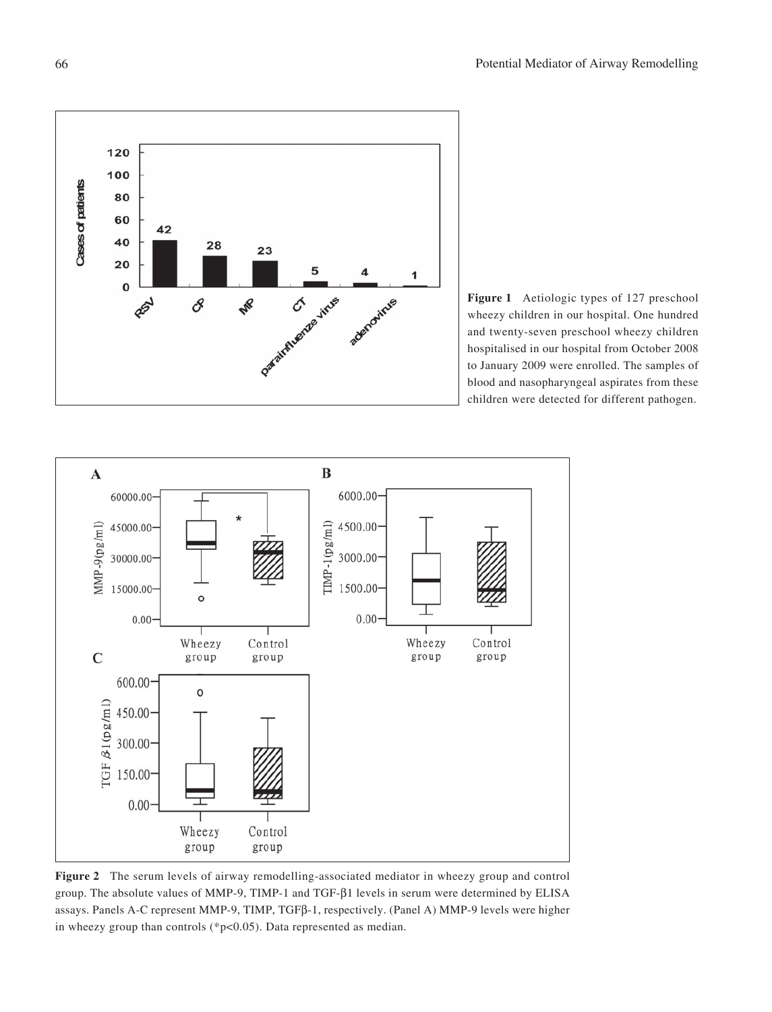

**Figure 1** Aetiologic types of 127 preschool wheezy children in our hospital. One hundred and twenty-seven preschool wheezy children hospitalised in our hospital from October 2008 to January 2009 were enrolled. The samples of blood and nasopharyngeal aspirates from these children were detected for different pathogen.



**Figure 2** The serum levels of airway remodelling-associated mediator in wheezy group and control group. The absolute values of MMP-9, TIMP-1 and TGF-β1 levels in serum were determined by ELISA assays. Panels A-C represent MMP-9, TIMP, TGFβ-1, respectively. (Panel A) MMP-9 levels were higher in wheezy group than controls (\*p<0.05). Data represented as median.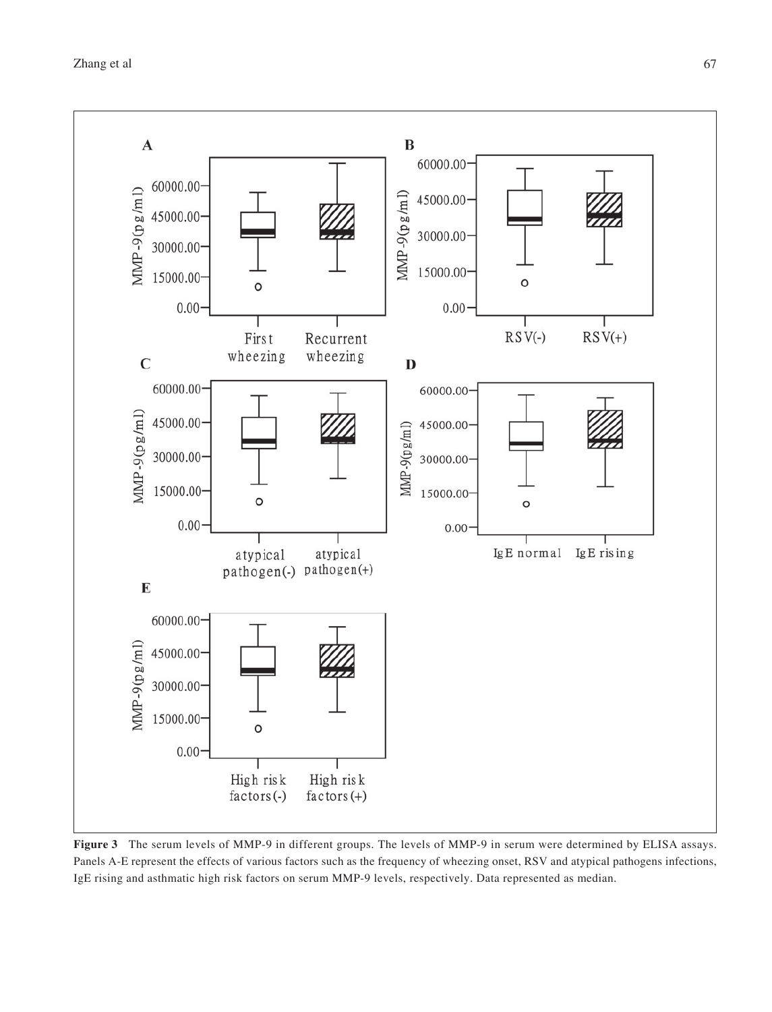

**Figure 3** The serum levels of MMP-9 in different groups. The levels of MMP-9 in serum were determined by ELISA assays. Panels A-E represent the effects of various factors such as the frequency of wheezing onset, RSV and atypical pathogens infections, IgE rising and asthmatic high risk factors on serum MMP-9 levels, respectively. Data represented as median.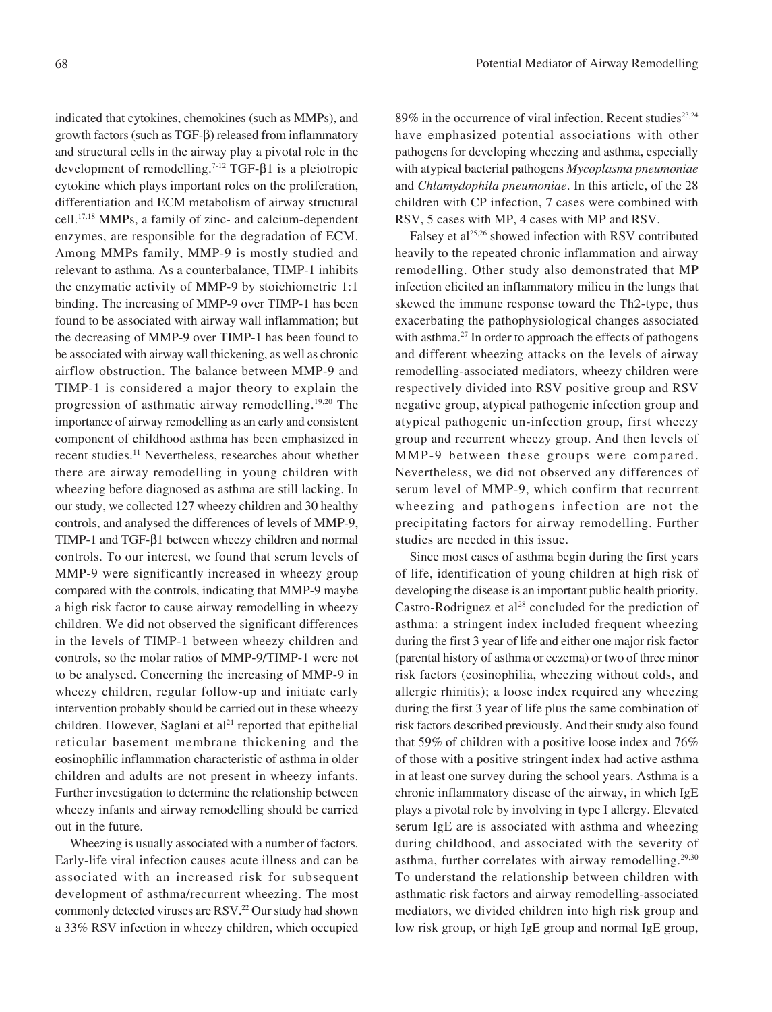indicated that cytokines, chemokines (such as MMPs), and growth factors (such as TGF-β) released from inflammatory and structural cells in the airway play a pivotal role in the development of remodelling.7-12 TGF-β1 is a pleiotropic cytokine which plays important roles on the proliferation, differentiation and ECM metabolism of airway structural cell.17,18 MMPs, a family of zinc- and calcium-dependent enzymes, are responsible for the degradation of ECM. Among MMPs family, MMP-9 is mostly studied and relevant to asthma. As a counterbalance, TIMP-1 inhibits the enzymatic activity of MMP-9 by stoichiometric 1:1 binding. The increasing of MMP-9 over TIMP-1 has been found to be associated with airway wall inflammation; but the decreasing of MMP-9 over TIMP-1 has been found to be associated with airway wall thickening, as well as chronic airflow obstruction. The balance between MMP-9 and TIMP-1 is considered a major theory to explain the progression of asthmatic airway remodelling.19,20 The importance of airway remodelling as an early and consistent component of childhood asthma has been emphasized in recent studies.11 Nevertheless, researches about whether there are airway remodelling in young children with wheezing before diagnosed as asthma are still lacking. In our study, we collected 127 wheezy children and 30 healthy controls, and analysed the differences of levels of MMP-9, TIMP-1 and TGF-β1 between wheezy children and normal controls. To our interest, we found that serum levels of MMP-9 were significantly increased in wheezy group compared with the controls, indicating that MMP-9 maybe a high risk factor to cause airway remodelling in wheezy children. We did not observed the significant differences in the levels of TIMP-1 between wheezy children and controls, so the molar ratios of MMP-9/TIMP-1 were not to be analysed. Concerning the increasing of MMP-9 in wheezy children, regular follow-up and initiate early intervention probably should be carried out in these wheezy children. However, Saglani et al $2<sup>1</sup>$  reported that epithelial reticular basement membrane thickening and the eosinophilic inflammation characteristic of asthma in older children and adults are not present in wheezy infants. Further investigation to determine the relationship between wheezy infants and airway remodelling should be carried out in the future.

Wheezing is usually associated with a number of factors. Early-life viral infection causes acute illness and can be associated with an increased risk for subsequent development of asthma/recurrent wheezing. The most commonly detected viruses are RSV.22 Our study had shown a 33% RSV infection in wheezy children, which occupied

89% in the occurrence of viral infection. Recent studies<sup>23,24</sup> have emphasized potential associations with other pathogens for developing wheezing and asthma, especially with atypical bacterial pathogens *Mycoplasma pneumoniae* and *Chlamydophila pneumoniae*. In this article, of the 28 children with CP infection, 7 cases were combined with RSV, 5 cases with MP, 4 cases with MP and RSV.

Falsey et al<sup>25,26</sup> showed infection with RSV contributed heavily to the repeated chronic inflammation and airway remodelling. Other study also demonstrated that MP infection elicited an inflammatory milieu in the lungs that skewed the immune response toward the Th2-type, thus exacerbating the pathophysiological changes associated with asthma.<sup>27</sup> In order to approach the effects of pathogens and different wheezing attacks on the levels of airway remodelling-associated mediators, wheezy children were respectively divided into RSV positive group and RSV negative group, atypical pathogenic infection group and atypical pathogenic un-infection group, first wheezy group and recurrent wheezy group. And then levels of MMP-9 between these groups were compared. Nevertheless, we did not observed any differences of serum level of MMP-9, which confirm that recurrent wheezing and pathogens infection are not the precipitating factors for airway remodelling. Further studies are needed in this issue.

Since most cases of asthma begin during the first years of life, identification of young children at high risk of developing the disease is an important public health priority. Castro-Rodriguez et al<sup>28</sup> concluded for the prediction of asthma: a stringent index included frequent wheezing during the first 3 year of life and either one major risk factor (parental history of asthma or eczema) or two of three minor risk factors (eosinophilia, wheezing without colds, and allergic rhinitis); a loose index required any wheezing during the first 3 year of life plus the same combination of risk factors described previously. And their study also found that 59% of children with a positive loose index and 76% of those with a positive stringent index had active asthma in at least one survey during the school years. Asthma is a chronic inflammatory disease of the airway, in which IgE plays a pivotal role by involving in type I allergy. Elevated serum IgE are is associated with asthma and wheezing during childhood, and associated with the severity of asthma, further correlates with airway remodelling.<sup>29,30</sup> To understand the relationship between children with asthmatic risk factors and airway remodelling-associated mediators, we divided children into high risk group and low risk group, or high IgE group and normal IgE group,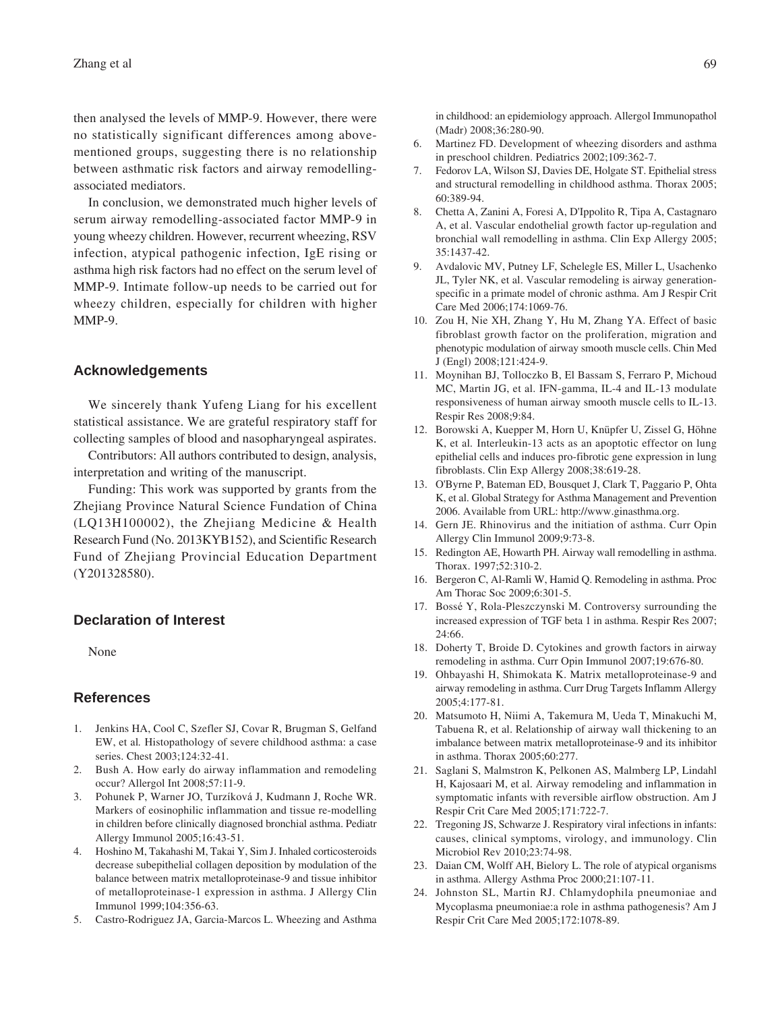then analysed the levels of MMP-9. However, there were no statistically significant differences among abovementioned groups, suggesting there is no relationship between asthmatic risk factors and airway remodellingassociated mediators.

In conclusion, we demonstrated much higher levels of serum airway remodelling-associated factor MMP-9 in young wheezy children. However, recurrent wheezing, RSV infection, atypical pathogenic infection, IgE rising or asthma high risk factors had no effect on the serum level of MMP-9. Intimate follow-up needs to be carried out for wheezy children, especially for children with higher MMP-9.

#### **Acknowledgements**

We sincerely thank Yufeng Liang for his excellent statistical assistance. We are grateful respiratory staff for collecting samples of blood and nasopharyngeal aspirates.

Contributors: All authors contributed to design, analysis, interpretation and writing of the manuscript.

Funding: This work was supported by grants from the Zhejiang Province Natural Science Fundation of China (LQ13H100002), the Zhejiang Medicine & Health Research Fund (No. 2013KYB152), and Scientific Research Fund of Zhejiang Provincial Education Department (Y201328580).

#### **Declaration of Interest**

None

#### **References**

- 1. Jenkins HA, Cool C, Szefler SJ, Covar R, Brugman S, Gelfand EW, et al*.* Histopathology of severe childhood asthma: a case series. Chest 2003;124:32-41.
- 2. Bush A. How early do airway inflammation and remodeling occur? Allergol Int 2008;57:11-9.
- 3. Pohunek P, Warner JO, Turzíková J, Kudmann J, Roche WR. Markers of eosinophilic inflammation and tissue re-modelling in children before clinically diagnosed bronchial asthma. Pediatr Allergy Immunol 2005;16:43-51.
- 4. Hoshino M, Takahashi M, Takai Y, Sim J. Inhaled corticosteroids decrease subepithelial collagen deposition by modulation of the balance between matrix metalloproteinase-9 and tissue inhibitor of metalloproteinase-1 expression in asthma. J Allergy Clin Immunol 1999;104:356-63.
- 5. Castro-Rodriguez JA, Garcia-Marcos L. Wheezing and Asthma

in childhood: an epidemiology approach. Allergol Immunopathol (Madr) 2008;36:280-90.

- 6. Martinez FD. Development of wheezing disorders and asthma in preschool children. Pediatrics 2002;109:362-7.
- 7. Fedorov LA, Wilson SJ, Davies DE, Holgate ST. Epithelial stress and structural remodelling in childhood asthma. Thorax 2005; 60:389-94.
- 8. Chetta A, Zanini A, Foresi A, D'Ippolito R, Tipa A, Castagnaro A, et al. Vascular endothelial growth factor up-regulation and bronchial wall remodelling in asthma. Clin Exp Allergy 2005; 35:1437-42.
- 9. Avdalovic MV, Putney LF, Schelegle ES, Miller L, Usachenko JL, Tyler NK, et al. Vascular remodeling is airway generationspecific in a primate model of chronic asthma. Am J Respir Crit Care Med 2006;174:1069-76.
- 10. Zou H, Nie XH, Zhang Y, Hu M, Zhang YA. Effect of basic fibroblast growth factor on the proliferation, migration and phenotypic modulation of airway smooth muscle cells. Chin Med J (Engl) 2008;121:424-9.
- 11. Moynihan BJ, Tolloczko B, El Bassam S, Ferraro P, Michoud MC, Martin JG, et al. IFN-gamma, IL-4 and IL-13 modulate responsiveness of human airway smooth muscle cells to IL-13. Respir Res 2008;9:84.
- 12. Borowski A, Kuepper M, Horn U, Knüpfer U, Zissel G, Höhne K, et al*.* Interleukin-13 acts as an apoptotic effector on lung epithelial cells and induces pro-fibrotic gene expression in lung fibroblasts. Clin Exp Allergy 2008;38:619-28.
- 13. O'Byrne P, Bateman ED, Bousquet J, Clark T, Paggario P, Ohta K, et al. Global Strategy for Asthma Management and Prevention 2006. Available from URL: http://www.ginasthma.org.
- 14. Gern JE. Rhinovirus and the initiation of asthma. Curr Opin Allergy Clin Immunol 2009;9:73-8.
- 15. Redington AE, Howarth PH. Airway wall remodelling in asthma. Thorax. 1997;52:310-2.
- 16. Bergeron C, Al-Ramli W, Hamid Q. Remodeling in asthma. Proc Am Thorac Soc 2009;6:301-5.
- 17. Bossé Y, Rola-Pleszczynski M. Controversy surrounding the increased expression of TGF beta 1 in asthma. Respir Res 2007; 24:66.
- 18. Doherty T, Broide D. Cytokines and growth factors in airway remodeling in asthma. Curr Opin Immunol 2007;19:676-80.
- 19. Ohbayashi H, Shimokata K. Matrix metalloproteinase-9 and airway remodeling in asthma. Curr Drug Targets Inflamm Allergy 2005;4:177-81.
- 20. Matsumoto H, Niimi A, Takemura M, Ueda T, Minakuchi M, Tabuena R, et al. Relationship of airway wall thickening to an imbalance between matrix metalloproteinase-9 and its inhibitor in asthma. Thorax 2005;60:277.
- 21. Saglani S, Malmstron K, Pelkonen AS, Malmberg LP, Lindahl H, Kajosaari M, et al. Airway remodeling and inflammation in symptomatic infants with reversible airflow obstruction. Am J Respir Crit Care Med 2005;171:722-7.
- 22. Tregoning JS, Schwarze J. Respiratory viral infections in infants: causes, clinical symptoms, virology, and immunology. Clin Microbiol Rev 2010;23:74-98.
- 23. Daian CM, Wolff AH, Bielory L. The role of atypical organisms in asthma. Allergy Asthma Proc 2000;21:107-11.
- 24. Johnston SL, Martin RJ. Chlamydophila pneumoniae and Mycoplasma pneumoniae:a role in asthma pathogenesis? Am J Respir Crit Care Med 2005;172:1078-89.